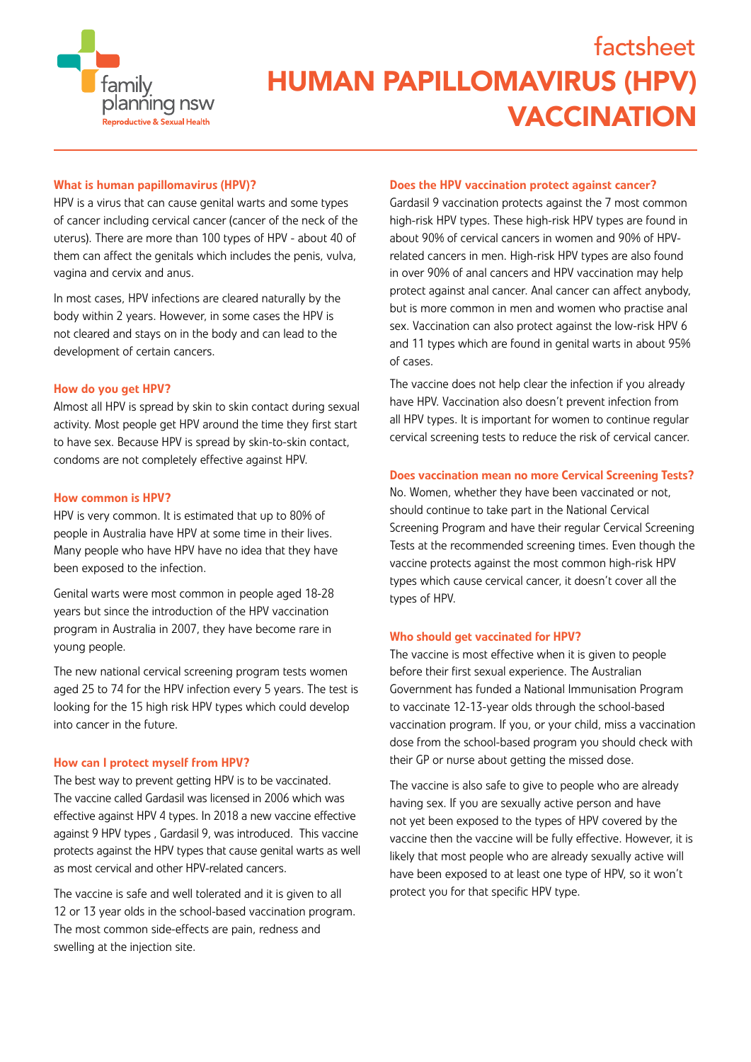

## What is human papillomavirus (HPV)?

HPV is a virus that can cause genital warts and some types of cancer including cervical cancer (cancer of the neck of the uterus). There are more than 100 types of HPV - about 40 of them can affect the genitals which includes the penis, vulva, vagina and cervix and anus.

In most cases, HPV infections are cleared naturally by the body within 2 years. However, in some cases the HPV is not cleared and stays on in the body and can lead to the development of certain cancers.

### How do you get HPV?

Almost all HPV is spread by skin to skin contact during sexual activity. Most people get HPV around the time they first start to have sex. Because HPV is spread by skin-to-skin contact, condoms are not completely effective against HPV.

#### How common is HPV?

HPV is very common. It is estimated that up to 80% of people in Australia have HPV at some time in their lives. Many people who have HPV have no idea that they have been exposed to the infection.

Genital warts were most common in people aged 18-28 years but since the introduction of the HPV vaccination program in Australia in 2007, they have become rare in young people.

The new national cervical screening program tests women aged 25 to 74 for the HPV infection every 5 years. The test is looking for the 15 high risk HPV types which could develop into cancer in the future.

### How can I protect myself from HPV?

The best way to prevent getting HPV is to be vaccinated. The vaccine called Gardasil was licensed in 2006 which was effective against HPV 4 types. In 2018 a new vaccine effective against 9 HPV types , Gardasil 9, was introduced. This vaccine protects against the HPV types that cause genital warts as well as most cervical and other HPV-related cancers.

The vaccine is safe and well tolerated and it is given to all 12 or 13 year olds in the school-based vaccination program. The most common side-effects are pain, redness and swelling at the injection site.

#### Does the HPV vaccination protect against cancer?

Gardasil 9 vaccination protects against the 7 most common high-risk HPV types. These high-risk HPV types are found in about 90% of cervical cancers in women and 90% of HPVrelated cancers in men. High-risk HPV types are also found in over 90% of anal cancers and HPV vaccination may help protect against anal cancer. Anal cancer can affect anybody, but is more common in men and women who practise anal sex. Vaccination can also protect against the low-risk HPV 6 and 11 types which are found in genital warts in about 95% of cases.

The vaccine does not help clear the infection if you already have HPV. Vaccination also doesn't prevent infection from all HPV types. It is important for women to continue regular cervical screening tests to reduce the risk of cervical cancer.

### Does vaccination mean no more Cervical Screening Tests?

No. Women, whether they have been vaccinated or not, should continue to take part in the National Cervical Screening Program and have their regular Cervical Screening Tests at the recommended screening times. Even though the vaccine protects against the most common high-risk HPV types which cause cervical cancer, it doesn't cover all the types of HPV.

#### Who should get vaccinated for HPV?

The vaccine is most effective when it is given to people before their first sexual experience. The Australian Government has funded a National Immunisation Program to vaccinate 12-13-year olds through the school-based vaccination program. If you, or your child, miss a vaccination dose from the school-based program you should check with their GP or nurse about getting the missed dose.

The vaccine is also safe to give to people who are already having sex. If you are sexually active person and have not yet been exposed to the types of HPV covered by the vaccine then the vaccine will be fully effective. However, it is likely that most people who are already sexually active will have been exposed to at least one type of HPV, so it won't protect you for that specific HPV type.